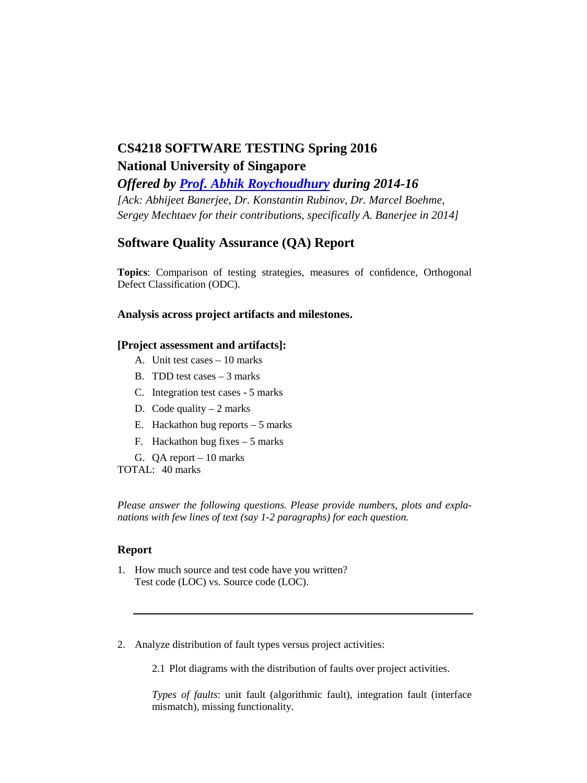# **CS4218 SOFTWARE TESTING Spring 2016 National University of Singapore**

*Offered by [Prof. Abhik Roychoudhury](http://www.comp.nus.edu.sg/~abhik/) during 2014-16 [Ack: Abhijeet Banerjee, Dr. Konstantin Rubinov, Dr. Marcel Boehme, Sergey Mechtaev for their contributions, specifically A. Banerjee in 2014]*

## **Software Quality Assurance (QA) Report**

**Topics**: Comparison of testing strategies, measures of confidence, Orthogonal Defect Classification (ODC).

## **Analysis across project artifacts and milestones.**

### **[Project assessment and artifacts]:**

- A. Unit test cases 10 marks
- B. TDD test cases 3 marks
- C. Integration test cases 5 marks
- D. Code quality  $-2$  marks
- E. Hackathon bug reports 5 marks
- F. Hackathon bug fixes 5 marks
- G. QA report 10 marks

TOTAL: 40 marks

*Please answer the following questions. Please provide numbers, plots and explanations with few lines of text (say 1-2 paragraphs) for each question.* 

#### **Report**

- 1. How much source and test code have you written? Test code (LOC) vs. Source code (LOC).
- 2. Analyze distribution of fault types versus project activities:

2.1 Plot diagrams with the distribution of faults over project activities.

*Types of faults*: unit fault (algorithmic fault), integration fault (interface mismatch), missing functionality.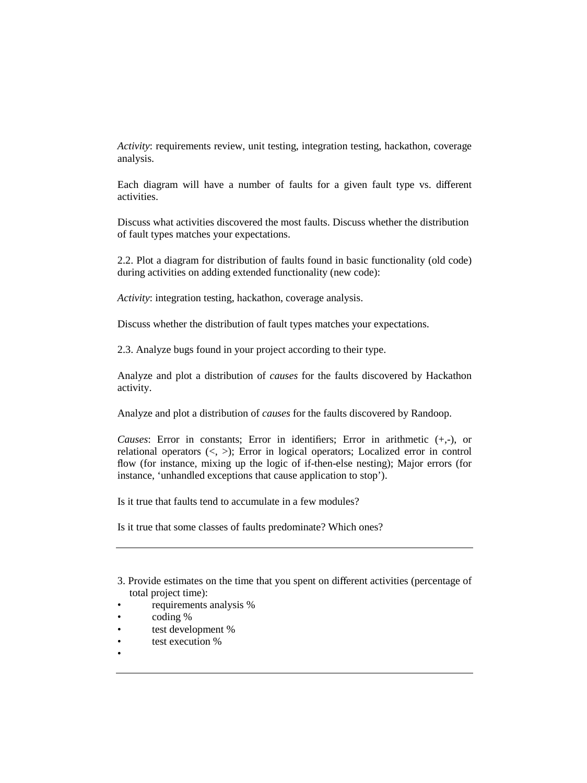*Activity*: requirements review, unit testing, integration testing, hackathon, coverage analysis.

Each diagram will have a number of faults for a given fault type vs. different activities.

Discuss what activities discovered the most faults. Discuss whether the distribution of fault types matches your expectations.

2.2. Plot a diagram for distribution of faults found in basic functionality (old code) during activities on adding extended functionality (new code):

*Activity*: integration testing, hackathon, coverage analysis.

Discuss whether the distribution of fault types matches your expectations.

2.3. Analyze bugs found in your project according to their type.

Analyze and plot a distribution of *causes* for the faults discovered by Hackathon activity.

Analyze and plot a distribution of *causes* for the faults discovered by Randoop.

*Causes*: Error in constants; Error in identifiers; Error in arithmetic (+,-), or relational operators  $\langle \langle , \rangle$ : Error in logical operators; Localized error in control flow (for instance, mixing up the logic of if-then-else nesting); Major errors (for instance, 'unhandled exceptions that cause application to stop').

Is it true that faults tend to accumulate in a few modules?

Is it true that some classes of faults predominate? Which ones?

- requirements analysis %
- coding %
- test development %
- test execution %
- •

<sup>3.</sup> Provide estimates on the time that you spent on different activities (percentage of total project time):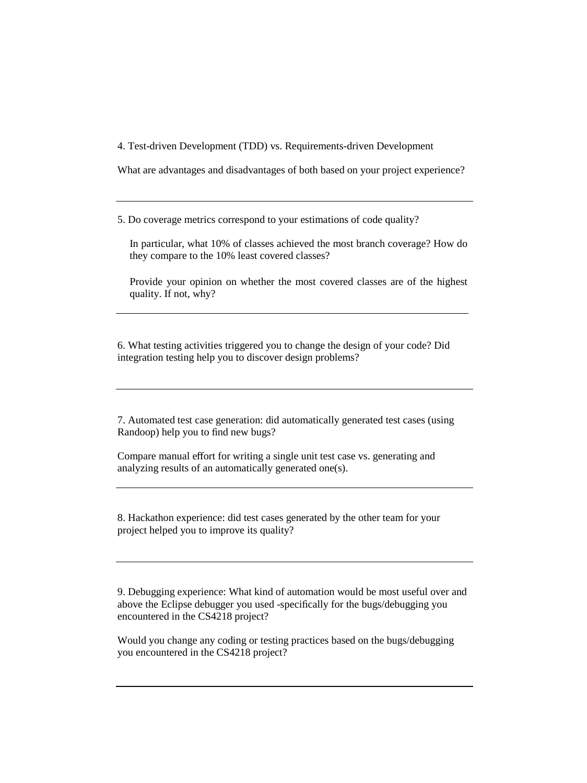4. Test-driven Development (TDD) vs. Requirements-driven Development

What are advantages and disadvantages of both based on your project experience?

5. Do coverage metrics correspond to your estimations of code quality?

In particular, what 10% of classes achieved the most branch coverage? How do they compare to the 10% least covered classes?

Provide your opinion on whether the most covered classes are of the highest quality. If not, why?

6. What testing activities triggered you to change the design of your code? Did integration testing help you to discover design problems?

7. Automated test case generation: did automatically generated test cases (using Randoop) help you to find new bugs?

Compare manual effort for writing a single unit test case vs. generating and analyzing results of an automatically generated one(s).

8. Hackathon experience: did test cases generated by the other team for your project helped you to improve its quality?

9. Debugging experience: What kind of automation would be most useful over and above the Eclipse debugger you used -specifically for the bugs/debugging you encountered in the CS4218 project?

Would you change any coding or testing practices based on the bugs/debugging you encountered in the CS4218 project?